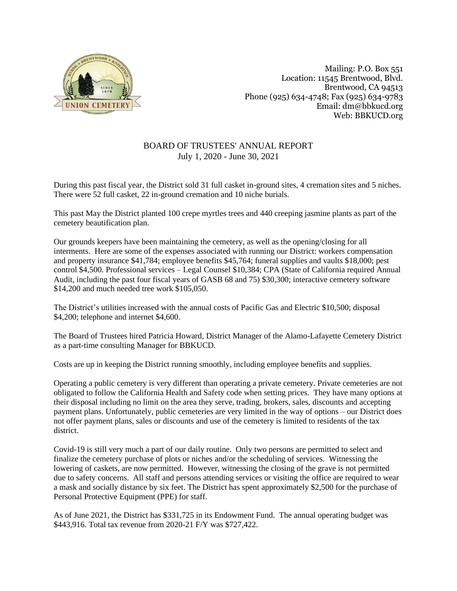

Mailing: P.O. Box 551 Location: 11545 Brentwood, Blvd. Brentwood, CA 94513 Phone (925) 634-4748; Fax (925) 634-9783 Email: dm@bbkucd.org Web: BBKUCD.org

## BOARD OF TRUSTEES' ANNUAL REPORT July 1, 2020 - June 30, 2021

During this past fiscal year, the District sold 31 full casket in-ground sites, 4 cremation sites and 5 niches. There were 52 full casket, 22 in-ground cremation and 10 niche burials.

This past May the District planted 100 crepe myrtles trees and 440 creeping jasmine plants as part of the cemetery beautification plan.

Our grounds keepers have been maintaining the cemetery, as well as the opening/closing for all interments. Here are some of the expenses associated with running our District: workers compensation and property insurance \$41,784; employee benefits \$45,764; funeral supplies and vaults \$18,000; pest control \$4,500. Professional services – Legal Counsel \$10,384; CPA (State of California required Annual Audit, including the past four fiscal years of GASB 68 and 75) \$30,300; interactive cemetery software \$14,200 and much needed tree work \$105,050.

The District's utilities increased with the annual costs of Pacific Gas and Electric \$10,500; disposal \$4,200; telephone and internet \$4,600.

The Board of Trustees hired Patricia Howard, District Manager of the Alamo-Lafayette Cemetery District as a part-time consulting Manager for BBKUCD.

Costs are up in keeping the District running smoothly, including employee benefits and supplies.

Operating a public cemetery is very different than operating a private cemetery. Private cemeteries are not obligated to follow the California Health and Safety code when setting prices. They have many options at their disposal including no limit on the area they serve, trading, brokers, sales, discounts and accepting payment plans. Unfortunately, public cemeteries are very limited in the way of options – our District does not offer payment plans, sales or discounts and use of the cemetery is limited to residents of the tax district.

Covid-19 is still very much a part of our daily routine. Only two persons are permitted to select and finalize the cemetery purchase of plots or niches and/or the scheduling of services. Witnessing the lowering of caskets, are now permitted. However, witnessing the closing of the grave is not permitted due to safety concerns. All staff and persons attending services or visiting the office are required to wear a mask and socially distance by six feet. The District has spent approximately \$2,500 for the purchase of Personal Protective Equipment (PPE) for staff.

As of June 2021, the District has \$331,725 in its Endowment Fund. The annual operating budget was \$443,916. Total tax revenue from 2020-21 F/Y was \$727,422.